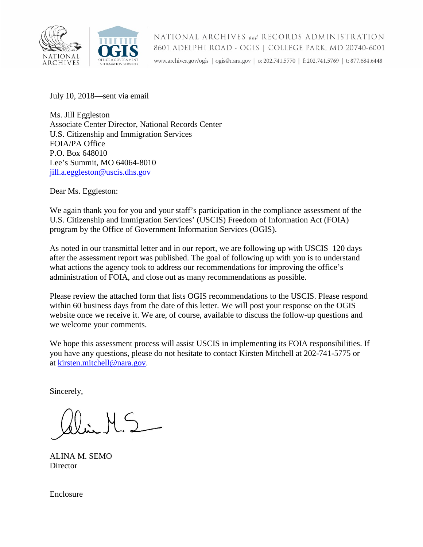

July 10, 2018—sent via email

Ms. Jill Eggleston Associate Center Director, National Records Center U.S. Citizenship and Immigration Services FOIA/PA Office P.O. Box 648010 Lee's Summit, MO 64064-8010 [jill.a.eggleston@uscis.dhs.gov](mailto:jill.a.eggleston@uscis.dhs.gov) 

Dear Ms. Eggleston:

We again thank you for you and your staff's participation in the compliance assessment of the U.S. Citizenship and Immigration Services' (USCIS) Freedom of Information Act (FOIA) program by the Office of Government Information Services (OGIS).

As noted in our transmittal letter and in our report, we are following up with USCIS 120 days after the assessment report was published. The goal of following up with you is to understand what actions the agency took to address our recommendations for improving the office's administration of FOIA, and close out as many recommendations as possible.

Please review the attached form that lists OGIS recommendations to the USCIS. Please respond within 60 business days from the date of this letter. We will post your response on the OGIS website once we receive it. We are, of course, available to discuss the follow-up questions and we welcome your comments.

We hope this assessment process will assist USCIS in implementing its FOIA responsibilities. If you have any questions, please do not hesitate to contact Kirsten Mitchell at 202-741-5775 or at [kirsten.mitchell@nara.gov.](mailto:kirsten.mitchell@nara.gov)

Sincerely,

ALINA M. SEMO **Director** 

Enclosure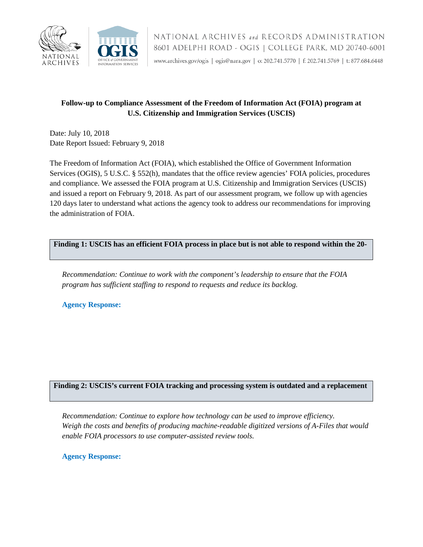

## **Follow-up to Compliance Assessment of the Freedom of Information Act (FOIA) program at U.S. Citizenship and Immigration Services (USCIS)**

Date: July 10, 2018 Date Report Issued: February 9, 2018

The Freedom of Information Act (FOIA), which established the Office of Government Information Services (OGIS), 5 U.S.C. § 552(h), mandates that the office review agencies' FOIA policies, procedures and compliance. We assessed the FOIA program at U.S. Citizenship and Immigration Services (USCIS) and issued a report on February 9, 2018. As part of our assessment program, we follow up with agencies 120 days later to understand what actions the agency took to address our recommendations for improving the administration of FOIA.

**Finding 1: USCIS has an efficient FOIA process in place but is not able to respond within the 20-**

*Recommendation: Continue to work with the component's leadership to ensure that the FOIA program has sufficient staffing to respond to requests and reduce its backlog.*

**Agency Response:** 

## **Finding 2: USCIS's current FOIA tracking and processing system is outdated and a replacement**

*Recommendation: Continue to explore how technology can be used to improve efficiency. Weigh the costs and benefits of producing machine-readable digitized versions of A-Files that would enable FOIA processors to use computer-assisted review tools.*

**Agency Response:**